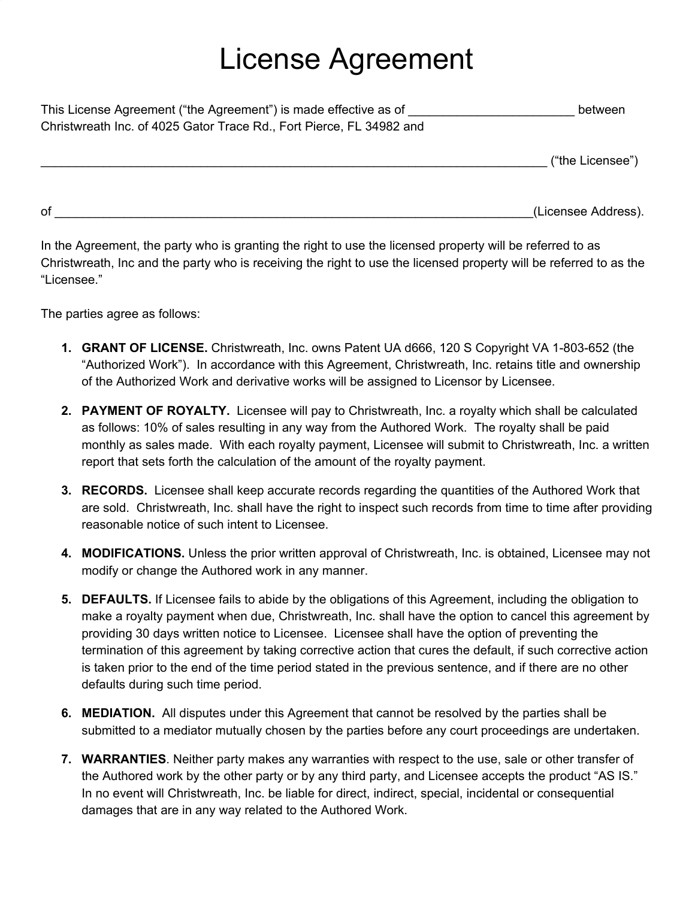## License Agreement

| This License Agreement ("the Agreement") is made effective as of     | between          |
|----------------------------------------------------------------------|------------------|
| Christwreath Inc. of 4025 Gator Trace Rd., Fort Pierce, FL 34982 and |                  |
|                                                                      | ("the Licensee") |

of the contract of the contract of the contract of the contract of the contract of the contract of the contract of the contract of the contract of the contract of the contract of the contract of the contract of the contrac

In the Agreement, the party who is granting the right to use the licensed property will be referred to as Christwreath, Inc and the party who is receiving the right to use the licensed property will be referred to as the "Licensee."

The parties agree as follows:

- **1. GRANT OF LICENSE.** Christwreath, Inc. owns Patent UA d666, 120 S Copyright VA 1-803-652 (the "Authorized Work"). In accordance with this Agreement, Christwreath, Inc. retains title and ownership of the Authorized Work and derivative works will be assigned to Licensor by Licensee.
- **2. PAYMENT OF ROYALTY.** Licensee will pay to Christwreath, Inc. a royalty which shall be calculated as follows: 10% of sales resulting in any way from the Authored Work. The royalty shall be paid monthly as sales made. With each royalty payment, Licensee will submit to Christwreath, Inc. a written report that sets forth the calculation of the amount of the royalty payment.
- **3. RECORDS.** Licensee shall keep accurate records regarding the quantities of the Authored Work that are sold. Christwreath, Inc. shall have the right to inspect such records from time to time after providing reasonable notice of such intent to Licensee.
- **4. MODIFICATIONS.** Unless the prior written approval of Christwreath, Inc. is obtained, Licensee may not modify or change the Authored work in any manner.
- **5. DEFAULTS.** If Licensee fails to abide by the obligations of this Agreement, including the obligation to make a royalty payment when due, Christwreath, Inc. shall have the option to cancel this agreement by providing 30 days written notice to Licensee. Licensee shall have the option of preventing the termination of this agreement by taking corrective action that cures the default, if such corrective action is taken prior to the end of the time period stated in the previous sentence, and if there are no other defaults during such time period.
- **6. MEDIATION.** All disputes under this Agreement that cannot be resolved by the parties shall be submitted to a mediator mutually chosen by the parties before any court proceedings are undertaken.
- **7. WARRANTIES**. Neither party makes any warranties with respect to the use, sale or other transfer of the Authored work by the other party or by any third party, and Licensee accepts the product "AS IS." In no event will Christwreath, Inc. be liable for direct, indirect, special, incidental or consequential damages that are in any way related to the Authored Work.